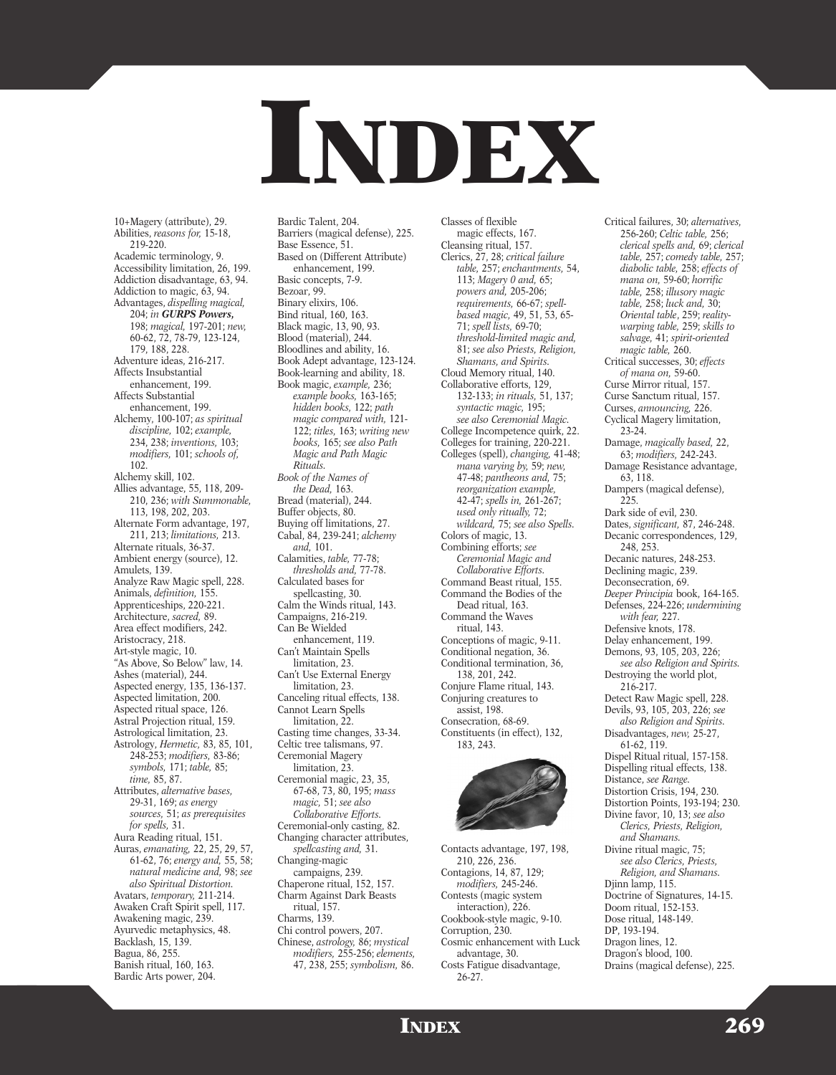

10+Magery (attribute), 29. Abilities, *reasons for,* 15-18, 219-220. Academic terminology, 9. Accessibility limitation, 26, 199. Addiction disadvantage, 63, 94. Addiction to magic, 63, 94. Advantages, *dispelling magical,* 204; *in GURPS Powers,* 198; *magical,* 197-201; *new,* 60-62, 72, 78-79, 123-124, 179, 188, 228. Adventure ideas, 216-217. Affects Insubstantial enhancement, 199. Affects Substantial enhancement, 199. Alchemy, 100-107; *as spiritual discipline,* 102; *example,* 234, 238; *inventions,* 103; *modifiers,* 101; *schools of,* 102. Alchemy skill, 102. Allies advantage, 55, 118, 209- 210, 236; *with Summonable,* 113, 198, 202, 203. Alternate Form advantage, 197, 211, 213; *limitations,* 213. Alternate rituals, 36-37. Ambient energy (source), 12. Amulets, 139. Analyze Raw Magic spell, 228. Animals, *definition,* 155. Apprenticeships, 220-221. Architecture, *sacred,* 89. Area effect modifiers, 242. Aristocracy, 218. Art-style magic, 10. "As Above, So Below" law, 14. Ashes (material), 244. Aspected energy, 135, 136-137. Aspected limitation, 200. Aspected ritual space, 126. Astral Projection ritual, 159. Astrological limitation, 23. Astrology, *Hermetic,* 83, 85, 101, 248-253; *modifiers,* 83-86; *symbols,* 171; *table,* 85; *time,* 85, 87. Attributes, *alternative bases,* 29-31, 169; *as energy sources,* 51; *as prerequisites for spells,* 31. Aura Reading ritual, 151. Auras, *emanating,* 22, 25, 29, 57, 61-62, 76; *energy and,* 55, 58; *natural medicine and,* 98; *see also Spiritual Distortion.* Avatars, *temporary,* 211-214. Awaken Craft Spirit spell, 117. Awakening magic, 239. Ayurvedic metaphysics, 48. Backlash, 15, 139. Bagua, 86, 255. Banish ritual, 160, 163.

Bardic Arts power, 204.

Bardic Talent, 204. Barriers (magical defense), 225. Base Essence, 51. Based on (Different Attribute) enhancement, 199. Basic concepts, 7-9. Bezoar, 99. Binary elixirs, 106. Bind ritual, 160, 163. Black magic, 13, 90, 93. Blood (material), 244. Bloodlines and ability, 16. Book Adept advantage, 123-124. Book-learning and ability, 18. Book magic, *example,* 236; *example books,* 163-165; *hidden books,* 122; *path magic compared with,* 121- 122; *titles,* 163; *writing new books,* 165; *see also Path Magic and Path Magic Rituals. Book of the Names of the Dead,* 163. Bread (material), 244. Buffer objects, 80. Buying off limitations, 27. Cabal, 84, 239-241; *alchemy and,* 101. Calamities, *table,* 77-78; *thresholds and,* 77-78. Calculated bases for spellcasting, 30. Calm the Winds ritual, 143. Campaigns, 216-219. Can Be Wielded enhancement, 119. Can't Maintain Spells limitation, 23. Can't Use External Energy limitation, 23. Canceling ritual effects, 138. Cannot Learn Spells limitation, 22. Casting time changes, 33-34. Celtic tree talismans, 97. Ceremonial Magery limitation, 23. Ceremonial magic, 23, 35, 67-68, 73, 80, 195; *mass magic,* 51; *see also Collaborative Efforts.* Ceremonial-only casting, 82. Changing character attributes, *spellcasting and,* 31. Changing-magic campaigns, 239. Chaperone ritual, 152, 157. Charm Against Dark Beasts ritual, 157. Charms, 139. Chi control powers, 207. Chinese, *astrology,* 86; *mystical*

*modifiers,* 255-256; *elements,* 47, 238, 255; *symbolism,* 86.

Classes of flexible magic effects, 167. Cleansing ritual, 157. Clerics, 27, 28; *critical failure table,* 257; *enchantments,* 54, 113; *Magery 0 and,* 65; *powers and,* 205-206; *requirements,* 66-67; *spellbased magic,* 49, 51, 53, 65- 71; *spell lists,* 69-70; *threshold-limited magic and,* 81; *see also Priests, Religion, Shamans, and Spirits.* Cloud Memory ritual, 140. Collaborative efforts, 129, 132-133; *in rituals,* 51, 137; *syntactic magic,* 195; *see also Ceremonial Magic.* College Incompetence quirk, 22. Colleges for training, 220-221. Colleges (spell), *changing,* 41-48; *mana varying by,* 59; *new,* 47-48; *pantheons and,* 75; *reorganization example,* 42-47; *spells in,* 261-267; *used only ritually,* 72; *wildcard,* 75; *see also Spells.* Colors of magic, 13. Combining efforts; *see Ceremonial Magic and Collaborative Efforts.* Command Beast ritual, 155. Command the Bodies of the Dead ritual, 163. Command the Waves ritual, 143. Conceptions of magic, 9-11. Conditional negation, 36. Conditional termination, 36, 138, 201, 242. Conjure Flame ritual, 143. Conjuring creatures to assist, 198. Consecration, 68-69. Constituents (in effect), 132, 183, 243.



Contacts advantage, 197, 198, 210, 226, 236. Contagions, 14, 87, 129; *modifiers,* 245-246. Contests (magic system interaction), 226. Cookbook-style magic, 9-10. Corruption, 230. Cosmic enhancement with Luck advantage, 30. Costs Fatigue disadvantage, 26-27.

Critical failures, 30; *alternatives,* 256-260; *Celtic table,* 256; *clerical spells and,* 69; *clerical table,* 257; *comedy table,* 257; *diabolic table,* 258; *effects of mana on,* 59-60; *horrific table,* 258; *illusory magic table,* 258; *luck and,* 30; *Oriental table*, 259; *realitywarping table,* 259; *skills to salvage,* 41; *spirit-oriented magic table,* 260. Critical successes, 30; *effects of mana on,* 59-60. Curse Mirror ritual, 157. Curse Sanctum ritual, 157. Curses, *announcing,* 226. Cyclical Magery limitation, 23-24. Damage, *magically based,* 22, 63; *modifiers,* 242-243. Damage Resistance advantage, 63, 118. Dampers (magical defense),  $225$ Dark side of evil, 230. Dates, *significant,* 87, 246-248. Decanic correspondences, 129, 248, 253. Decanic natures, 248-253. Declining magic, 239. Deconsecration, 69. *Deeper Principia* book, 164-165. Defenses, 224-226; *undermining with fear,* 227. Defensive knots, 178. Delay enhancement, 199. Demons, 93, 105, 203, 226; *see also Religion and Spirits.* Destroying the world plot, 216-217. Detect Raw Magic spell, 228. Devils, 93, 105, 203, 226; *see also Religion and Spirits.* Disadvantages, *new,* 25-27, 61-62, 119. Dispel Ritual ritual, 157-158. Dispelling ritual effects, 138. Distance, *see Range.* Distortion Crisis, 194, 230. Distortion Points, 193-194; 230. Divine favor, 10, 13; *see also Clerics, Priests, Religion, and Shamans.* Divine ritual magic, 75; *see also Clerics, Priests, Religion, and Shamans.* Djinn lamp, 115. Doctrine of Signatures, 14-15. Doom ritual, 152-153. Dose ritual, 148-149. DP, 193-194. Dragon lines, 12. Dragon's blood, 100.

Drains (magical defense), 225.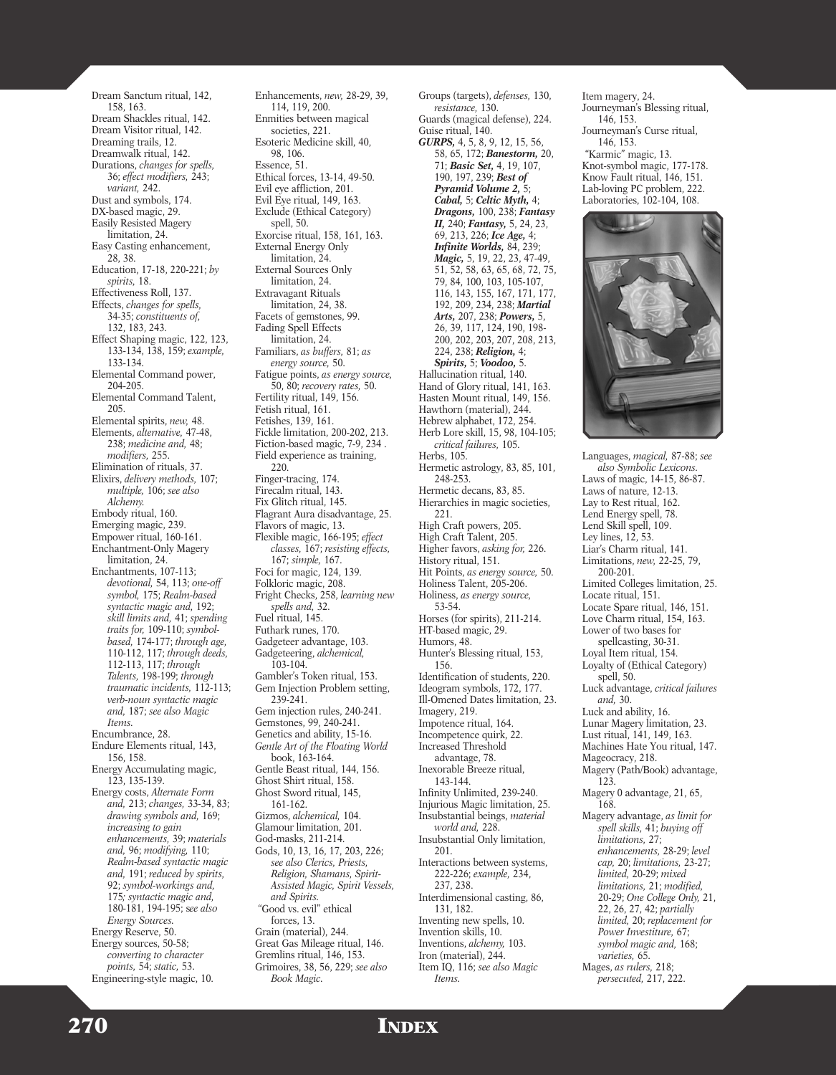Dream Sanctum ritual, 142, 158, 163. Dream Shackles ritual, 142. Dream Visitor ritual, 142. Dreaming trails, 12. Dreamwalk ritual, 142. Durations, *changes for spells,* 36; *effect modifiers,* 243; *variant,* 242. Dust and symbols, 174. DX-based magic, 29. Easily Resisted Magery limitation, 24. Easy Casting enhancement, 28, 38. Education, 17-18, 220-221; *by spirits,* 18. Effectiveness Roll, 137. Effects, *changes for spells,* 34-35; *constituents of,* 132, 183, 243. Effect Shaping magic, 122, 123, 133-134, 138, 159; *example,* 133-134. Elemental Command power, 204-205. Elemental Command Talent, 205. Elemental spirits, *new,* 48. Elements, *alternative,* 47-48, 238; *medicine and,* 48; *modifiers,* 255. Elimination of rituals, 37. Elixirs, *delivery methods,* 107; *multiple,* 106; *see also Alchemy.* Embody ritual, 160. Emerging magic, 239. Empower ritual, 160-161. Enchantment-Only Magery limitation, 24. Enchantments, 107-113; *devotional,* 54, 113; *one-off symbol,* 175; *Realm-based syntactic magic and,* 192; *skill limits and,* 41; *spending traits for,* 109-110; *symbolbased,* 174-177; *through age,* 110-112, 117; *through deeds,* 112-113, 117; *through Talents,* 198-199; *through traumatic incidents,* 112-113; *verb-noun syntactic magic and,* 187; *see also Magic Items.* Encumbrance, 28. Endure Elements ritual, 143, 156, 158. Energy Accumulating magic, 123, 135-139. Energy costs, *Alternate Form and,* 213; *changes,* 33-34, 83; *drawing symbols and,* 169; *increasing to gain enhancements,* 39; *materials and,* 96; *modifying,* 110; *Realm-based syntactic magic and,* 191; *reduced by spirits,* 92; *symbol-workings and,* 175*; syntactic magic and,* 180-181, 194-195; s*ee also Energy Sources.* Energy Reserve, 50. Energy sources, 50-58; *converting to character points,* 54; *static,* 53.

Enhancements, *new,* 28-29, 39, 114, 119, 200. Enmities between magical societies, 221. Esoteric Medicine skill, 40, 98, 106. Essence, 51. Ethical forces, 13-14, 49-50. Evil eye affliction, 201. Evil Eye ritual, 149, 163. Exclude (Ethical Category) spell, 50. Exorcise ritual, 158, 161, 163. External Energy Only limitation, 24. External Sources Only limitation, 24. Extravagant Rituals limitation, 24, 38. Facets of gemstones, 99. Fading Spell Effects limitation, 24. Familiars, *as buffers,* 81; *as energy source,* 50. Fatigue points, *as energy source,* 50, 80; *recovery rates,* 50. Fertility ritual, 149, 156. Fetish ritual, 161. Fetishes, 139, 161. Fickle limitation, 200-202, 213. Fiction-based magic, 7-9, 234 . Field experience as training, 220. Finger-tracing, 174. Firecalm ritual, 143. Fix Glitch ritual, 145. Flagrant Aura disadvantage, 25. Flavors of magic, 13. Flexible magic, 166-195; *effect classes,* 167; *resisting effects,* 167; *simple,* 167. Foci for magic, 124, 139. Folkloric magic, 208. Fright Checks, 258, *learning new spells and,* 32. Fuel ritual, 145. Futhark runes, 170. Gadgeteer advantage, 103. Gadgeteering, *alchemical,* 103-104. Gambler's Token ritual, 153. Gem Injection Problem setting, 239-241. Gem injection rules, 240-241. Gemstones, 99, 240-241. Genetics and ability, 15-16. *Gentle Art of the Floating World* book, 163-164. Gentle Beast ritual, 144, 156. Ghost Shirt ritual, 158. Ghost Sword ritual, 145, 161-162. Gizmos, *alchemical,* 104. Glamour limitation, 201. God-masks, 211-214. Gods, 10, 13, 16, 17, 203, 226; *see also Clerics, Priests, Religion, Shamans, Spirit-Assisted Magic, Spirit Vessels, and Spirits.* "Good vs. evil" ethical forces, 13. Grain (material), 244. Great Gas Mileage ritual, 146. Gremlins ritual, 146, 153. Grimoires, 38, 56, 229; *see also*

Groups (targets), *defenses,* 130, *resistance,* 130. Guards (magical defense), 224. Guise ritual, 140. *GURPS,* 4, 5, 8, 9, 12, 15, 56, 58, 65, 172; *Banestorm,* 20, 71; *Basic Set,* 4, 19, 107, 190, 197, 239; *Best of Pyramid Volume 2,* 5; *Cabal,* 5; *Celtic Myth,* 4; *Dragons,* 100, 238; *Fantasy II,* 240; *Fantasy,* 5, 24, 23, 69, 213, 226; *Ice Age,* 4; *Infinite Worlds,* 84, 239; *Magic,* 5, 19, 22, 23, 47-49, 51, 52, 58, 63, 65, 68, 72, 75, 79, 84, 100, 103, 105-107, 116, 143, 155, 167, 171, 177, 192, 209, 234, 238; *Martial Arts,* 207, 238; *Powers,* 5, 26, 39, 117, 124, 190, 198- 200, 202, 203, 207, 208, 213, 224, 238; *Religion,* 4; *Spirits,* 5; *Voodoo,* 5. Hallucination ritual, 140. Hand of Glory ritual, 141, 163. Hasten Mount ritual, 149, 156. Hawthorn (material), 244. Hebrew alphabet, 172, 254. Herb Lore skill, 15, 98, 104-105; *critical failures,* 105. Herbs, 105. Hermetic astrology, 83, 85, 101, 248-253. Hermetic decans, 83, 85. Hierarchies in magic societies, 221. High Craft powers, 205. High Craft Talent, 205. Higher favors, *asking for,* 226. History ritual, 151. Hit Points, *as energy source,* 50. Holiness Talent, 205-206. Holiness, *as energy source,* 53-54. Horses (for spirits), 211-214. HT-based magic, 29. Humors, 48. Hunter's Blessing ritual, 153, 156. Identification of students, 220. Ideogram symbols, 172, 177. Ill-Omened Dates limitation, 23. Imagery, 219. Impotence ritual, 164. Incompetence quirk, 22. Increased Threshold advantage, 78. Inexorable Breeze ritual, 143-144. Infinity Unlimited, 239-240. Injurious Magic limitation, 25. Insubstantial beings, *material world and,* 228. Insubstantial Only limitation, 201. Interactions between systems, 222-226; *example,* 234, 237, 238. Interdimensional casting, 86, 131, 182. Inventing new spells, 10. Invention skills, 10. Inventions, *alchemy,* 103. Iron (material), 244. Item IQ, 116; *see also Magic*

Item magery, 24. Journeyman's Blessing ritual, 146, 153. Journeyman's Curse ritual, 146, 153. "Karmic" magic, 13. Knot-symbol magic, 177-178. Know Fault ritual, 146, 151. Lab-loving PC problem, 222. Laboratories, 102-104, 108.



Languages, *magical,* 87-88; *see also Symbolic Lexicons.* Laws of magic, 14-15, 86-87. Laws of nature, 12-13. Lay to Rest ritual, 162. Lend Energy spell, 78. Lend Skill spell, 109. Ley lines,  $12, 53$ . Liar's Charm ritual, 141. Limitations, *new,* 22-25, 79, 200-201. Limited Colleges limitation, 25. Locate ritual, 151. Locate Spare ritual, 146, 151. Love Charm ritual, 154, 163. Lower of two bases for spellcasting, 30-31. Loyal Item ritual, 154. Loyalty of (Ethical Category) spell, 50. Luck advantage, *critical failures and,* 30. Luck and ability, 16. Lunar Magery limitation, 23. Lust ritual, 141, 149, 163. Machines Hate You ritual, 147. Mageocracy, 218. Magery (Path/Book) advantage, 123. Magery 0 advantage, 21, 65, 168. Magery advantage, *as limit for spell skills,* 41; *buying off limitations,* 27; *enhancements,* 28-29; *level cap,* 20; *limitations,* 23-27; *limited,* 20-29; *mixed limitations,* 21; *modified,* 20-29; *One College Only,* 21, 22, 26, 27, 42; *partially limited,* 20; *replacement for Power Investiture,* 67; *symbol magic and,* 168; *varieties,* 65. Mages, *as rulers,* 218; *persecuted,* 217, 222.

Engineering-style magic, 10.

270 INDEX

*Items.*

*Book Magic.*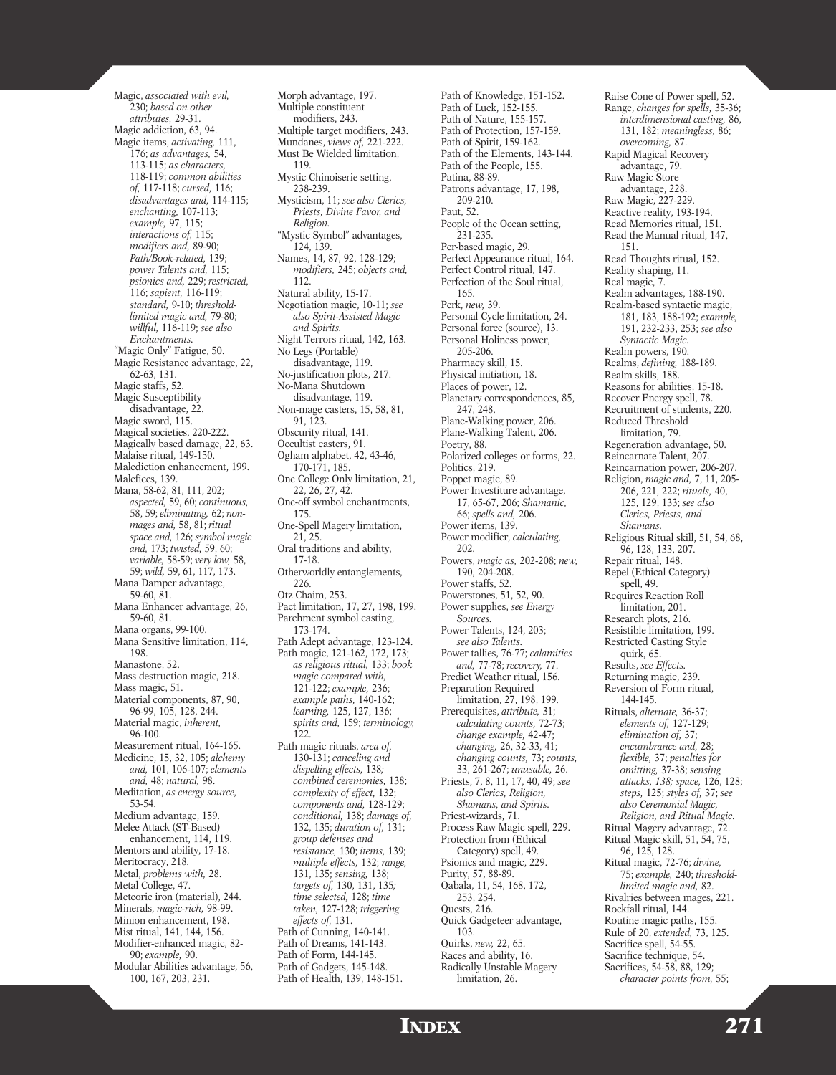Magic, *associated with evil,* 230; *based on other attributes,* 29-31. Magic addiction, 63, 94. Magic items, *activating,* 111, 176; *as advantages,* 54, 113-115; *as characters,* 118-119; *common abilities of,* 117-118; *cursed,* 116; *disadvantages and,* 114-115; *enchanting,* 107-113; *example,* 97, 115; *interactions of,* 115; *modifiers and,* 89-90; *Path/Book-related,* 139; *power Talents and,* 115; *psionics and,* 229; *restricted,* 116; *sapient,* 116-119; *standard,* 9-10; *thresholdlimited magic and,* 79-80; *willful,* 116-119; *see also Enchantments.* "Magic Only" Fatigue, 50. Magic Resistance advantage, 22, 62-63, 131. Magic staffs, 52. Magic Susceptibility disadvantage, 22. Magic sword, 115. Magical societies, 220-222. Magically based damage, 22, 63. Malaise ritual, 149-150. Malediction enhancement, 199. Malefices, 139. Mana, 58-62, 81, 111, 202; *aspected,* 59, 60; *continuous,* 58, 59; *eliminating,* 62; *nonmages and,* 58, 81; *ritual space and,* 126; *symbol magic and,* 173; *twisted,* 59, 60; *variable,* 58-59; *very low,* 58, 59; *wild,* 59, 61, 117, 173. Mana Damper advantage, 59-60, 81. Mana Enhancer advantage, 26, 59-60, 81. Mana organs, 99-100. Mana Sensitive limitation, 114, 198. Manastone, 52. Mass destruction magic, 218. Mass magic, 51. Material components, 87, 90, 96-99, 105, 128, 244. Material magic, *inherent,* 96-100. Measurement ritual, 164-165. Medicine, 15, 32, 105; *alchemy and,* 101, 106-107; *elements and,* 48; *natural,* 98. Meditation, *as energy source,* 53-54. Medium advantage, 159. Melee Attack (ST-Based) enhancement, 114, 119. Mentors and ability, 17-18. Meritocracy, 218. Metal, *problems with,* 28. Metal College, 47. Meteoric iron (material), 244. Minerals, *magic-rich,* 98-99. Minion enhancement, 198. Mist ritual, 141, 144, 156. Modifier-enhanced magic, 82- 90; *example,* 90. Modular Abilities advantage, 56, 100, 167, 203, 231.

Morph advantage, 197. Multiple constituent modifiers, 243. Multiple target modifiers, 243. Mundanes, *views of,* 221-222. Must Be Wielded limitation, 119. Mystic Chinoiserie setting, 238-239. Mysticism, 11; *see also Clerics, Priests, Divine Favor, and Religion.* "Mystic Symbol" advantages, 124, 139. Names, 14, 87, 92, 128-129; *modifiers,* 245; *objects and,* 112. Natural ability, 15-17. Negotiation magic, 10-11; *see also Spirit-Assisted Magic and Spirits.* Night Terrors ritual, 142, 163. No Legs (Portable) disadvantage, 119. No-justification plots, 217. No-Mana Shutdown disadvantage, 119. Non-mage casters, 15, 58, 81, 91, 123. Obscurity ritual, 141. Occultist casters, 91. Ogham alphabet, 42, 43-46, 170-171, 185. One College Only limitation, 21, 22, 26, 27, 42. One-off symbol enchantments, 175. One-Spell Magery limitation, 21, 25. Oral traditions and ability, 17-18. Otherworldly entanglements, 226. Otz Chaim, 253. Pact limitation, 17, 27, 198, 199. Parchment symbol casting, 173-174. Path Adept advantage, 123-124. Path magic, 121-162, 172, 173; *as religious ritual,* 133; *book magic compared with,* 121-122; *example,* 236; *example paths,* 140-162; *learning,* 125, 127, 136; *spirits and,* 159; *terminology,* 122. Path magic rituals, *area of,* 130-131; *canceling and dispelling effects,* 138*; combined ceremonies,* 138; *complexity of effect,* 132; *components and,* 128-129; *conditional,* 138; *damage of,* 132, 135; *duration of,* 131; *group defenses and resistance,* 130; *items,* 139; *multiple effects,* 132; *range,* 131, 135; *sensing,* 138; *targets of,* 130, 131, 135*; time selected,* 128; *time taken,* 127-128; *triggering effects of,* 131. Path of Cunning, 140-141. Path of Dreams, 141-143. Path of Form, 144-145. Path of Gadgets, 145-148. Path of Health, 139, 148-151.

Path of Knowledge, 151-152. Path of Luck, 152-155. Path of Nature, 155-157. Path of Protection, 157-159. Path of Spirit, 159-162. Path of the Elements, 143-144. Path of the People, 155. Patina, 88-89. Patrons advantage, 17, 198, 209-210. Paut, 52. People of the Ocean setting, 231-235. Per-based magic, 29. Perfect Appearance ritual, 164. Perfect Control ritual, 147. Perfection of the Soul ritual, 165. Perk, *new,* 39. Personal Cycle limitation, 24. Personal force (source), 13. Personal Holiness power, 205-206. Pharmacy skill, 15. Physical initiation, 18. Places of power, 12. Planetary correspondences, 85, 247, 248. Plane-Walking power, 206. Plane-Walking Talent, 206. Poetry, 88. Polarized colleges or forms, 22. Politics, 219. Poppet magic, 89. Power Investiture advantage, 17, 65-67, 206; *Shamanic,* 66; *spells and,* 206. Power items, 139. Power modifier, *calculating,* 202. Powers, *magic as,* 202-208; *new,* 190, 204-208. Power staffs, 52. Powerstones, 51, 52, 90. Power supplies, *see Energy Sources.* Power Talents, 124, 203; *see also Talents.* Power tallies, 76-77; *calamities and,* 77-78; *recovery,* 77. Predict Weather ritual, 156. Preparation Required limitation, 27, 198, 199. Prerequisites, *attribute,* 31; *calculating counts,* 72-73; *change example,* 42-47; *changing,* 26, 32-33, 41; *changing counts,* 73; *counts,* 33, 261-267; *unusable,* 26. Priests, 7, 8, 11, 17, 40, 49; *see also Clerics, Religion, Shamans, and Spirits.* Priest-wizards, 71. Process Raw Magic spell, 229. Protection from (Ethical Category) spell, 49. Psionics and magic, 229. Purity, 57, 88-89. Qabala, 11, 54, 168, 172, 253, 254. Quests, 216. Quick Gadgeteer advantage, 103. Quirks, *new,* 22, 65. Races and ability, 16. Radically Unstable Magery limitation, 26.

Raise Cone of Power spell, 52. Range, *changes for spells,* 35-36; *interdimensional casting,* 86, 131, 182; *meaningless,* 86; *overcoming,* 87. Rapid Magical Recovery advantage, 79. Raw Magic Store advantage, 228. Raw Magic, 227-229. Reactive reality, 193-194. Read Memories ritual, 151. Read the Manual ritual, 147, 151. Read Thoughts ritual, 152. Reality shaping, 11. Real magic, 7. Realm advantages, 188-190. Realm-based syntactic magic, 181, 183, 188-192; *example,* 191, 232-233, 253; *see also Syntactic Magic.* Realm powers, 190. Realms, *defining,* 188-189. Realm skills, 188. Reasons for abilities, 15-18. Recover Energy spell, 78. Recruitment of students, 220. Reduced Threshold limitation, 79. Regeneration advantage, 50. Reincarnate Talent, 207. Reincarnation power, 206-207. Religion, *magic and,* 7, 11, 205- 206, 221, 222; *rituals,* 40, 125, 129, 133; *see also Clerics, Priests, and Shamans.* Religious Ritual skill, 51, 54, 68, 96, 128, 133, 207. Repair ritual, 148. Repel (Ethical Category) spell, 49. Requires Reaction Roll limitation, 201. Research plots, 216. Resistible limitation, 199. Restricted Casting Style quirk, 65. Results, *see Effects.* Returning magic, 239. Reversion of Form ritual, 144-145. Rituals, *alternate,* 36-37; *elements of,* 127-129; *elimination of,* 37; *encumbrance and,* 28; *flexible,* 37; *penalties for omitting,* 37-38; *sensing attacks, 138; space,* 126, 128; *steps,* 125; *styles of,* 37; *see also Ceremonial Magic, Religion, and Ritual Magic.* Ritual Magery advantage, 72. Ritual Magic skill, 51, 54, 75, 96, 125, 128. Ritual magic, 72-76; *divine,* 75; *example,* 240; *thresholdlimited magic and,* 82. Rivalries between mages, 221. Rockfall ritual, 144. Routine magic paths, 155. Rule of 20, *extended,* 73, 125. Sacrifice spell, 54-55. Sacrifice technique, 54. Sacrifices, 54-58, 88, 129; *character points from,* 55;